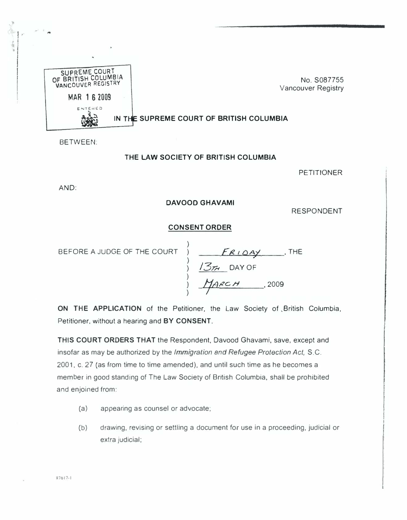

BETWEEN:

## THE LAW SOCIETY OF BRITISH COLUMBIA

PETITIONER

AND:

## DAVOOO GHAVAMI

RESPONDENT

## CONSENT ORDER

BEFORE A JUDGE OF THE COURT

) ) ) ) ) )  $FR$   $104$  THE  $1377$  DAY OF MARCH .2009

ON THE APPLICATION of the Petitioner, the Law Society of ,British Columbia, Petitioner. without a hearing and BY CONSENT.

THIS COURT ORDERS THAT the Respondent, Davood Ghavami, save, except and insofar as may be authorized by the Immigration and Refugee Protection Act, S.C. 2001, c. 27 (as from time to time amended), and until such time as he becomes a member in good standing of The Law Society of British Columbia, shall be prohibited and enjoined from:

- (a) appearing as counsel or advocate;
- (b) drawing, revising or settling a document for use in a proceeding, judicial or extra judicial;